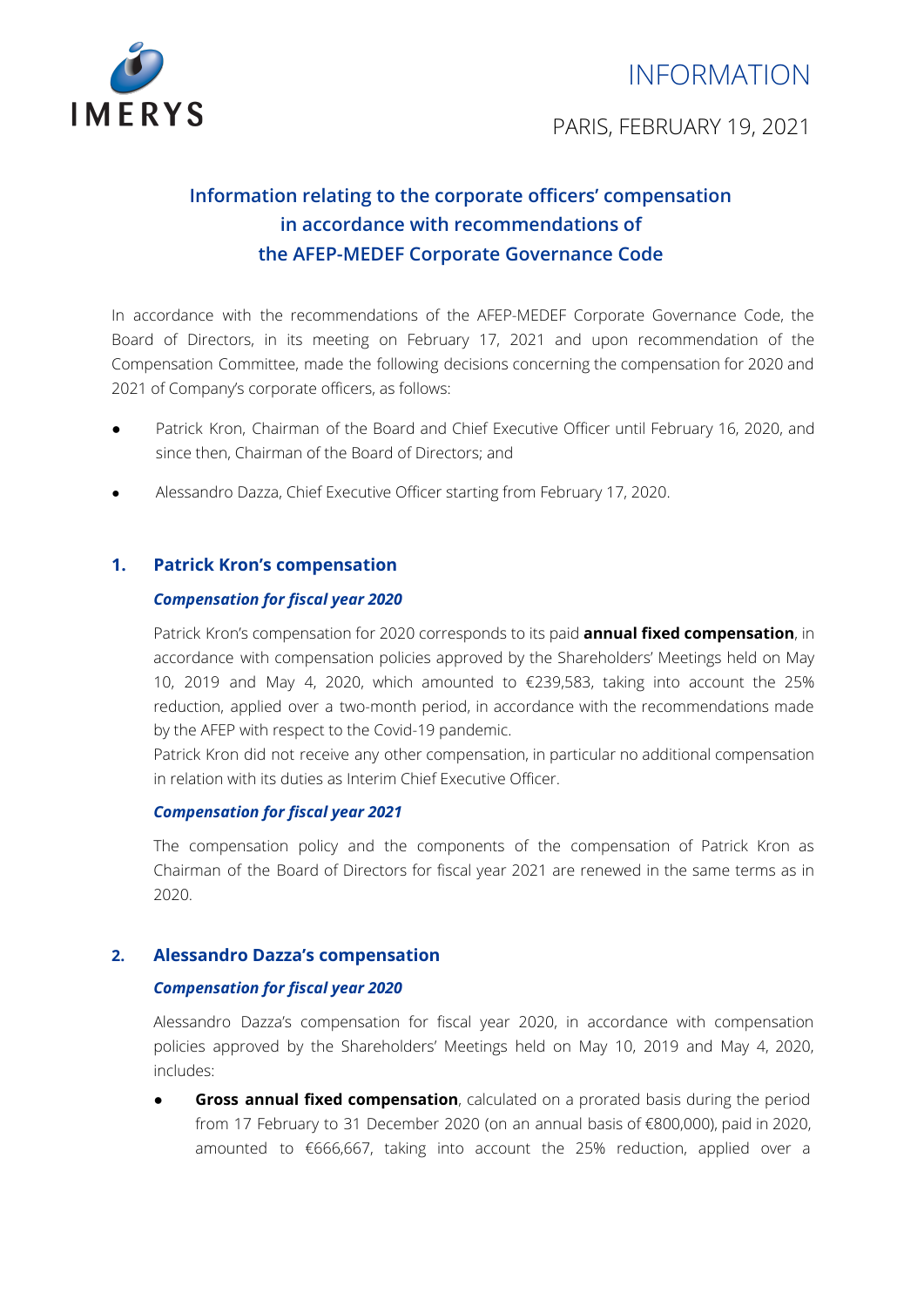



PARIS, FEBRUARY 19, 2021

# **Information relating to the corporate officers' compensation in accordance with recommendations of the AFEP-MEDEF Corporate Governance Code**

In accordance with the recommendations of the AFEP-MEDEF Corporate Governance Code, the Board of Directors, in its meeting on February 17, 2021 and upon recommendation of the Compensation Committee, made the following decisions concerning the compensation for 2020 and 2021 of Company's corporate officers, as follows:

- Patrick Kron, Chairman of the Board and Chief Executive Officer until February 16, 2020, and since then, Chairman of the Board of Directors; and
- Alessandro Dazza, Chief Executive Officer starting from February 17, 2020.

# **1. Patrick Kron's compensation**

## *Compensation for fiscal year 2020*

Patrick Kron's compensation for 2020 corresponds to its paid **annual fixed compensation**, in accordance with compensation policies approved by the Shareholders' Meetings held on May 10, 2019 and May 4, 2020, which amounted to €239,583, taking into account the 25% reduction, applied over a two-month period, in accordance with the recommendations made by the AFEP with respect to the Covid-19 pandemic.

Patrick Kron did not receive any other compensation, in particular no additional compensation in relation with its duties as Interim Chief Executive Officer.

#### *Compensation for fiscal year 2021*

The compensation policy and the components of the compensation of Patrick Kron as Chairman of the Board of Directors for fiscal year 2021 are renewed in the same terms as in 2020.

#### **2. Alessandro Dazza's compensation**

#### *Compensation for fiscal year 2020*

Alessandro Dazza's compensation for fiscal year 2020, in accordance with compensation policies approved by the Shareholders' Meetings held on May 10, 2019 and May 4, 2020, includes:

● **Gross annual fixed compensation**, calculated on a prorated basis during the period from 17 February to 31 December 2020 (on an annual basis of €800,000), paid in 2020, amounted to €666,667, taking into account the 25% reduction, applied over a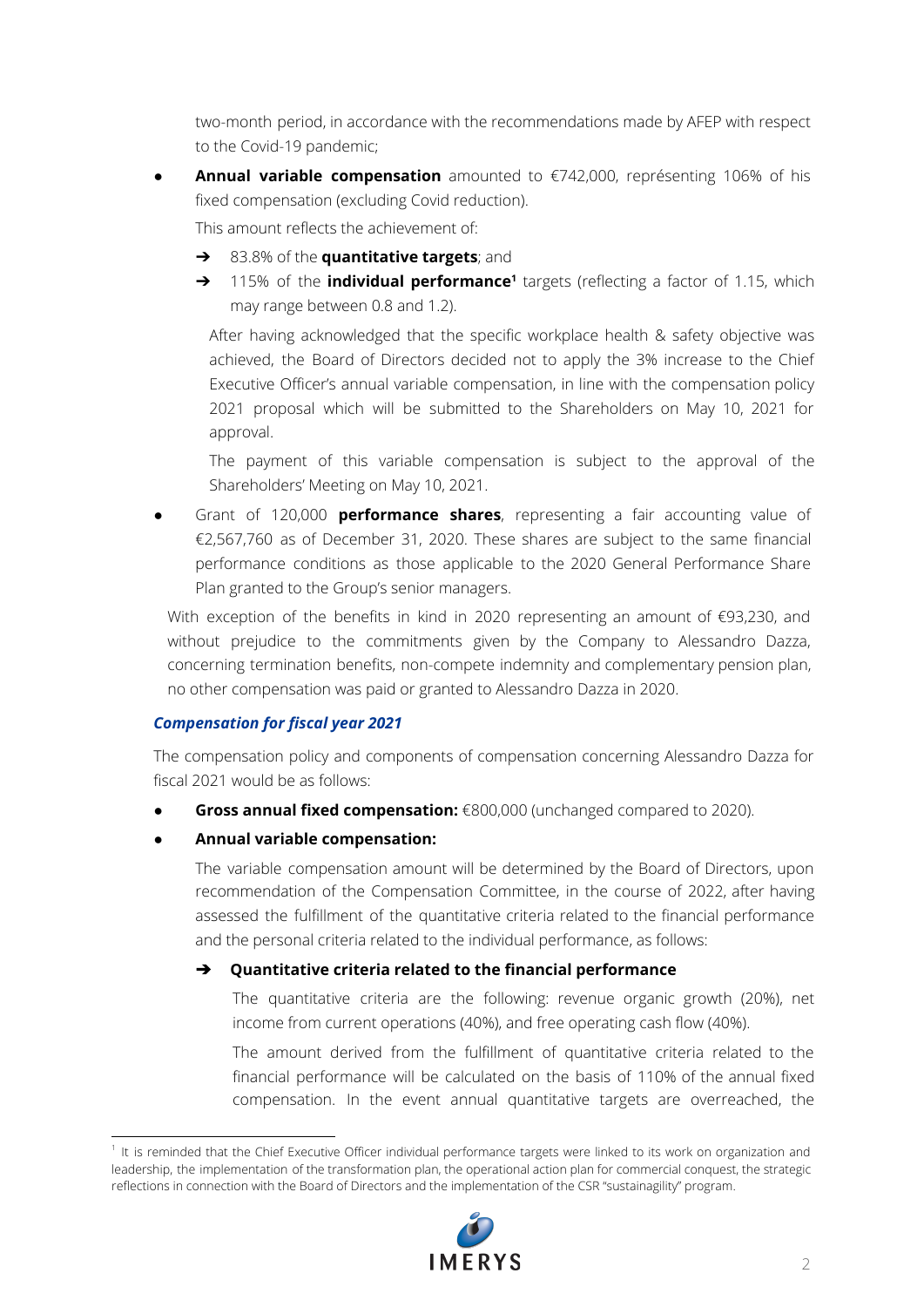two-month period, in accordance with the recommendations made by AFEP with respect to the Covid-19 pandemic;

● **Annual variable compensation** amounted to €742,000, représenting 106% of his fixed compensation (excluding Covid reduction).

This amount reflects the achievement of:

- ➔ 83.8% of the **quantitative targets**; and
- → 115% of the **individual performance<sup>1</sup>** targets (reflecting a factor of 1.15, which may range between 0.8 and 1.2).

After having acknowledged that the specific workplace health & safety objective was achieved, the Board of Directors decided not to apply the 3% increase to the Chief Executive Officer's annual variable compensation, in line with the compensation policy 2021 proposal which will be submitted to the Shareholders on May 10, 2021 for approval.

The payment of this variable compensation is subject to the approval of the Shareholders' Meeting on May 10, 2021.

● Grant of 120,000 **performance shares**, representing a fair accounting value of €2,567,760 as of December 31, 2020. These shares are subject to the same financial performance conditions as those applicable to the 2020 General Performance Share Plan granted to the Group's senior managers.

With exception of the benefits in kind in 2020 representing an amount of €93,230, and without prejudice to the commitments given by the Company to Alessandro Dazza, concerning termination benefits, non-compete indemnity and complementary pension plan, no other compensation was paid or granted to Alessandro Dazza in 2020.

# *Compensation for fiscal year 2021*

The compensation policy and components of compensation concerning Alessandro Dazza for fiscal 2021 would be as follows:

- **Gross annual fixed compensation:** €800,000 (unchanged compared to 2020).
- **Annual variable compensation:**

The variable compensation amount will be determined by the Board of Directors, upon recommendation of the Compensation Committee, in the course of 2022, after having assessed the fulfillment of the quantitative criteria related to the financial performance and the personal criteria related to the individual performance, as follows:

# ➔ **Quantitative criteria related to the financial performance**

The quantitative criteria are the following: revenue organic growth (20%), net income from current operations (40%), and free operating cash flow (40%).

The amount derived from the fulfillment of quantitative criteria related to the financial performance will be calculated on the basis of 110% of the annual fixed compensation. In the event annual quantitative targets are overreached, the

<sup>&</sup>lt;sup>1</sup> It is reminded that the Chief Executive Officer individual performance targets were linked to its work on organization and leadership, the implementation of the transformation plan, the operational action plan for commercial conquest, the strategic reflections in connection with the Board of Directors and the implementation of the CSR "sustainagility" program.

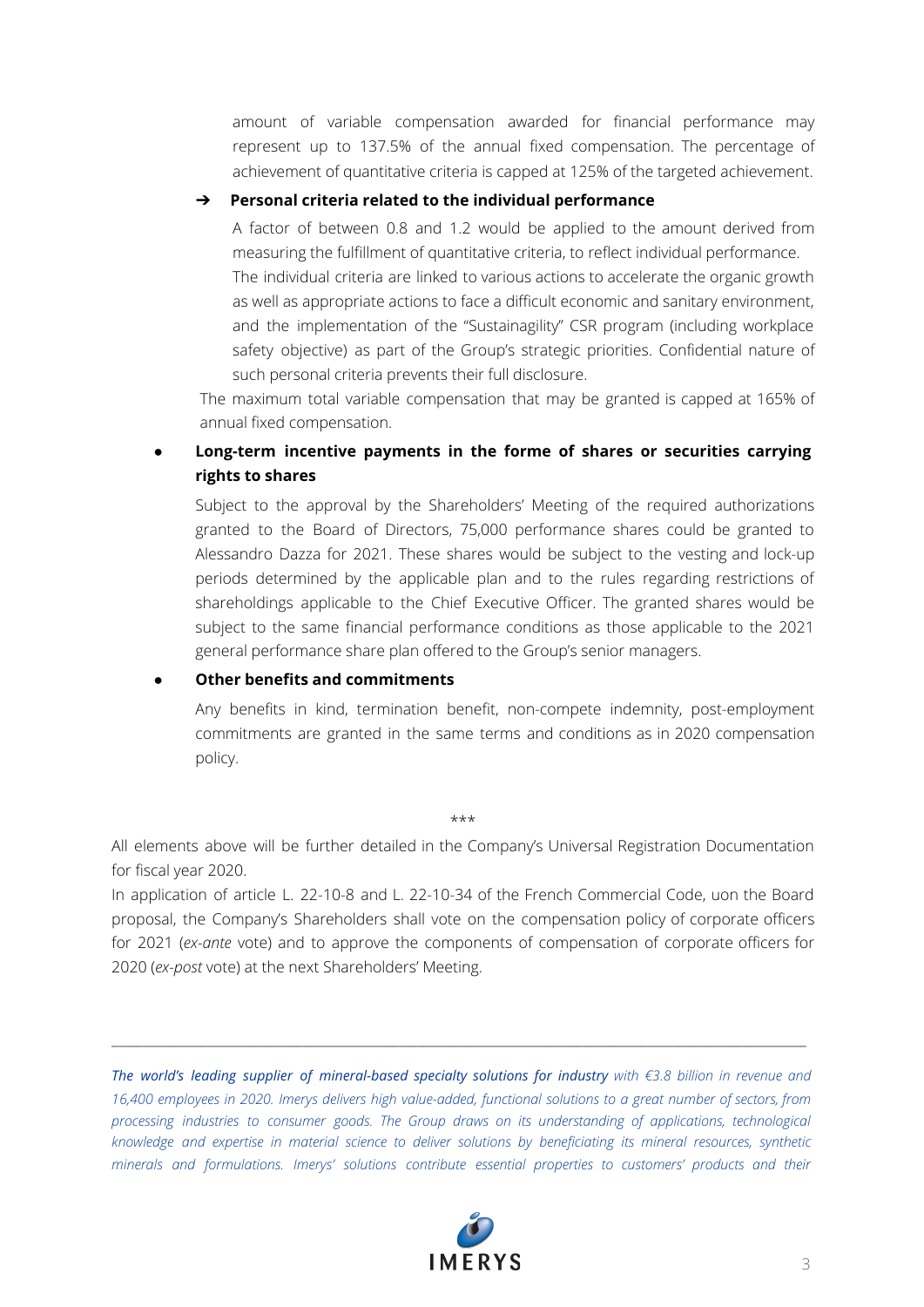amount of variable compensation awarded for financial performance may represent up to 137.5% of the annual fixed compensation. The percentage of achievement of quantitative criteria is capped at 125% of the targeted achievement.

#### ➔ **Personal criteria related to the individual performance**

A factor of between 0.8 and 1.2 would be applied to the amount derived from measuring the fulfillment of quantitative criteria, to reflect individual performance.

The individual criteria are linked to various actions to accelerate the organic growth as well as appropriate actions to face a difficult economic and sanitary environment, and the implementation of the "Sustainagility" CSR program (including workplace safety objective) as part of the Group's strategic priorities. Confidential nature of such personal criteria prevents their full disclosure.

The maximum total variable compensation that may be granted is capped at 165% of annual fixed compensation.

# ● **Long-term incentive payments in the forme of shares or securities carrying rights to shares**

Subject to the approval by the Shareholders' Meeting of the required authorizations granted to the Board of Directors, 75,000 performance shares could be granted to Alessandro Dazza for 2021. These shares would be subject to the vesting and lock-up periods determined by the applicable plan and to the rules regarding restrictions of shareholdings applicable to the Chief Executive Officer. The granted shares would be subject to the same financial performance conditions as those applicable to the 2021 general performance share plan offered to the Group's senior managers.

### ● **Other benefits and commitments**

Any benefits in kind, termination benefit, non-compete indemnity, post-employment commitments are granted in the same terms and conditions as in 2020 compensation policy.

#### \*\*\*

All elements above will be further detailed in the Company's Universal Registration Documentation for fiscal year 2020.

In application of article L. 22-10-8 and L. 22-10-34 of the French Commercial Code, uon the Board proposal, the Company's Shareholders shall vote on the compensation policy of corporate officers for 2021 (*ex-ante* vote) and to approve the components of compensation of corporate officers for 2020 (*ex-post* vote) at the next Shareholders' Meeting.

*The world's leading supplier of mineral-based specialty solutions for industry with €3.8 billion in revenue and* 16,400 employees in 2020. Imerys delivers high value-added, functional solutions to a great number of sectors, from *processing industries to consumer goods. The Group draws on its understanding of applications, technological knowledge and expertise in material science to deliver solutions by beneficiating its mineral resources, synthetic minerals and formulations. Imerys' solutions contribute essential properties to customers' products and their*

\_\_\_\_\_\_\_\_\_\_\_\_\_\_\_\_\_\_\_\_\_\_\_\_\_\_\_\_\_\_\_\_\_\_\_\_\_\_\_\_\_\_\_\_\_\_\_\_\_\_\_\_\_\_\_\_\_\_\_\_\_\_\_\_\_\_\_\_\_\_\_\_\_\_\_\_\_\_\_\_\_\_\_\_\_\_\_\_\_\_\_\_\_\_\_\_\_\_\_\_\_\_\_\_\_\_\_\_\_